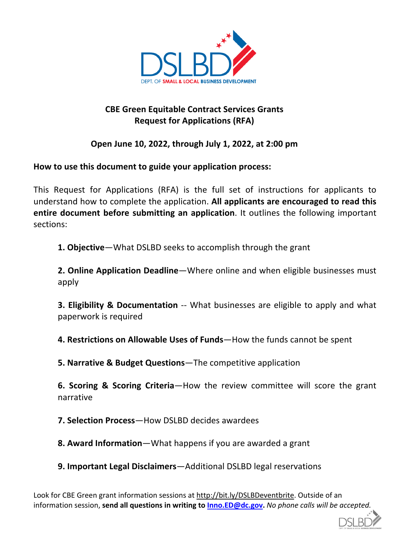

# **CBE Green Equitable Contract Services Grants Request for Applications (RFA)**

## **Open June 10, 2022, through July 1, 2022, at 2:00 pm**

**How to use this document to guide your application process:**

This Request for Applications (RFA) is the full set of instructions for applicants to understand how to complete the application. **All applicants are encouraged to read this entire document before submitting an application**. It outlines the following important sections:

**1. Objective**—What DSLBD seeks to accomplish through the grant

**2. Online Application Deadline**—Where online and when eligible businesses must apply

**3. Eligibility & Documentation** -- What businesses are eligible to apply and what paperwork is required

**4. Restrictions on Allowable Uses of Funds**—How the funds cannot be spent

**5. Narrative & Budget Questions**—The competitive application

**6. Scoring & Scoring Criteria**—How the review committee will score the grant narrative

**7. Selection Process**—How DSLBD decides awardees

**8. Award Information**—What happens if you are awarded a grant

**9. Important Legal Disclaimers**—Additional DSLBD legal reservations

Look for CBE Green grant information sessions at http://bit.ly/DSLBDeventbrite. Outside of an information session, **send all questions in writing to Inno.ED@dc.gov.** *No phone calls will be accepted.*

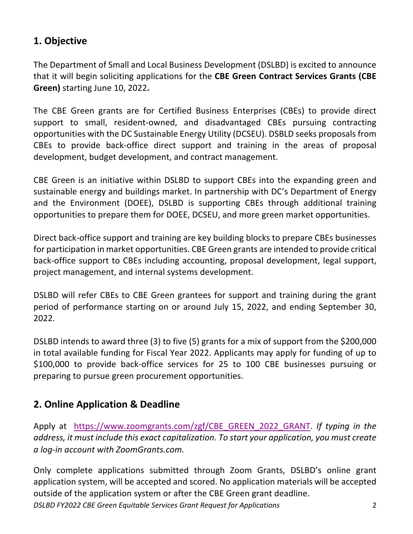# **1. Objective**

The Department of Small and Local Business Development (DSLBD) is excited to announce that it will begin soliciting applications for the **CBE Green Contract Services Grants (CBE Green)** starting June 10, 2022**.** 

The CBE Green grants are for Certified Business Enterprises (CBEs) to provide direct support to small, resident-owned, and disadvantaged CBEs pursuing contracting opportunities with the DC Sustainable Energy Utility (DCSEU). DSBLD seeks proposals from CBEs to provide back-office direct support and training in the areas of proposal development, budget development, and contract management.

CBE Green is an initiative within DSLBD to support CBEs into the expanding green and sustainable energy and buildings market. In partnership with DC's Department of Energy and the Environment (DOEE), DSLBD is supporting CBEs through additional training opportunities to prepare them for DOEE, DCSEU, and more green market opportunities.

Direct back-office support and training are key building blocks to prepare CBEs businesses for participation in market opportunities. CBE Green grants are intended to provide critical back-office support to CBEs including accounting, proposal development, legal support, project management, and internal systems development.

DSLBD will refer CBEs to CBE Green grantees for support and training during the grant period of performance starting on or around July 15, 2022, and ending September 30, 2022.

DSLBD intends to award three (3) to five (5) grants for a mix of support from the \$200,000 in total available funding for Fiscal Year 2022. Applicants may apply for funding of up to \$100,000 to provide back-office services for 25 to 100 CBE businesses pursuing or preparing to pursue green procurement opportunities.

# **2. Online Application & Deadline**

Apply at https://www.zoomgrants.com/zgf/CBE\_GREEN\_2022\_GRANT. *If typing in the address, it must include this exact capitalization. To start your application, you must create a log-in account with ZoomGrants.com.*

*DSLBD FY2022 CBE Green Equitable Services Grant Request for Applications* 2 Only complete applications submitted through Zoom Grants, DSLBD's online grant application system, will be accepted and scored. No application materials will be accepted outside of the application system or after the CBE Green grant deadline.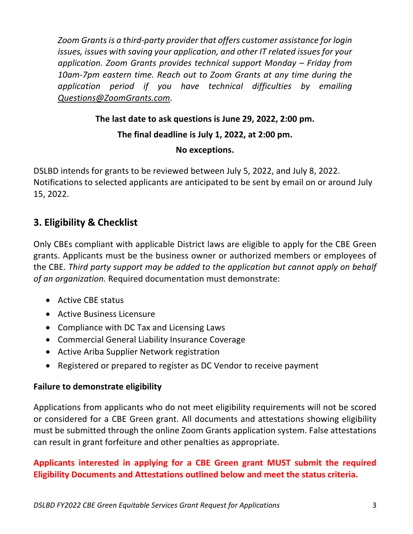*Zoom Grants is a third-party provider that offers customer assistance for login issues, issues with saving your application, and other IT related issues for your application. Zoom Grants provides technical support Monday – Friday from 10am-7pm eastern time. Reach out to Zoom Grants at any time during the application period if you have technical difficulties by emailing Questions@ZoomGrants.com.* 

#### **The last date to ask questions is June 29, 2022, 2:00 pm.**

#### **The final deadline is July 1, 2022, at 2:00 pm.**

#### **No exceptions.**

DSLBD intends for grants to be reviewed between July 5, 2022, and July 8, 2022. Notifications to selected applicants are anticipated to be sent by email on or around July 15, 2022.

# **3. Eligibility & Checklist**

Only CBEs compliant with applicable District laws are eligible to apply for the CBE Green grants. Applicants must be the business owner or authorized members or employees of the CBE. *Third party support may be added to the application but cannot apply on behalf of an organization.* Required documentation must demonstrate:

- Active CBE status
- Active Business Licensure
- Compliance with DC Tax and Licensing Laws
- Commercial General Liability Insurance Coverage
- Active Ariba Supplier Network registration
- Registered or prepared to register as DC Vendor to receive payment

#### **Failure to demonstrate eligibility**

Applications from applicants who do not meet eligibility requirements will not be scored or considered for a CBE Green grant. All documents and attestations showing eligibility must be submitted through the online Zoom Grants application system. False attestations can result in grant forfeiture and other penalties as appropriate.

## **Applicants interested in applying for a CBE Green grant MUST submit the required Eligibility Documents and Attestations outlined below and meet the status criteria.**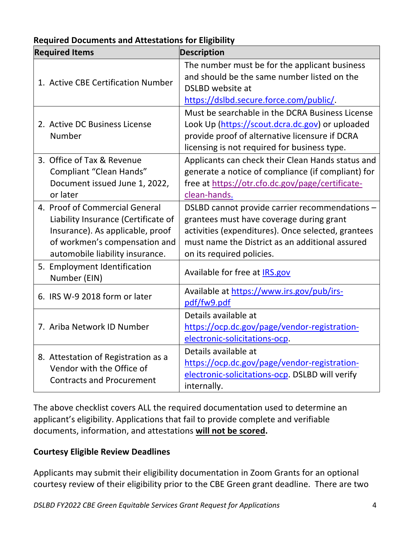| <b>Required Items</b>                                                                                                                                                         | <b>Description</b>                                                                                                                                                                                                               |
|-------------------------------------------------------------------------------------------------------------------------------------------------------------------------------|----------------------------------------------------------------------------------------------------------------------------------------------------------------------------------------------------------------------------------|
| 1. Active CBE Certification Number                                                                                                                                            | The number must be for the applicant business<br>and should be the same number listed on the<br><b>DSLBD</b> website at<br>https://dslbd.secure.force.com/public/                                                                |
| 2. Active DC Business License<br>Number                                                                                                                                       | Must be searchable in the DCRA Business License<br>Look Up (https://scout.dcra.dc.gov) or uploaded<br>provide proof of alternative licensure if DCRA<br>licensing is not required for business type.                             |
| 3. Office of Tax & Revenue<br>Compliant "Clean Hands"<br>Document issued June 1, 2022,<br>or later                                                                            | Applicants can check their Clean Hands status and<br>generate a notice of compliance (if compliant) for<br>free at https://otr.cfo.dc.gov/page/certificate-<br>clean-hands.                                                      |
| 4. Proof of Commercial General<br>Liability Insurance (Certificate of<br>Insurance). As applicable, proof<br>of workmen's compensation and<br>automobile liability insurance. | DSLBD cannot provide carrier recommendations -<br>grantees must have coverage during grant<br>activities (expenditures). Once selected, grantees<br>must name the District as an additional assured<br>on its required policies. |
| 5. Employment Identification<br>Number (EIN)                                                                                                                                  | Available for free at IRS.gov                                                                                                                                                                                                    |
| 6. IRS W-9 2018 form or later                                                                                                                                                 | Available at https://www.irs.gov/pub/irs-<br>pdf/fw9.pdf                                                                                                                                                                         |
| 7. Ariba Network ID Number                                                                                                                                                    | Details available at<br>https://ocp.dc.gov/page/vendor-registration-<br>electronic-solicitations-ocp.                                                                                                                            |
| 8. Attestation of Registration as a<br>Vendor with the Office of<br><b>Contracts and Procurement</b>                                                                          | Details available at<br>https://ocp.dc.gov/page/vendor-registration-<br>electronic-solicitations-ocp. DSLBD will verify<br>internally.                                                                                           |

#### **Required Documents and Attestations for Eligibility**

The above checklist covers ALL the required documentation used to determine an applicant's eligibility. Applications that fail to provide complete and verifiable documents, information, and attestations **will not be scored.** 

#### **Courtesy Eligible Review Deadlines**

Applicants may submit their eligibility documentation in Zoom Grants for an optional courtesy review of their eligibility prior to the CBE Green grant deadline. There are two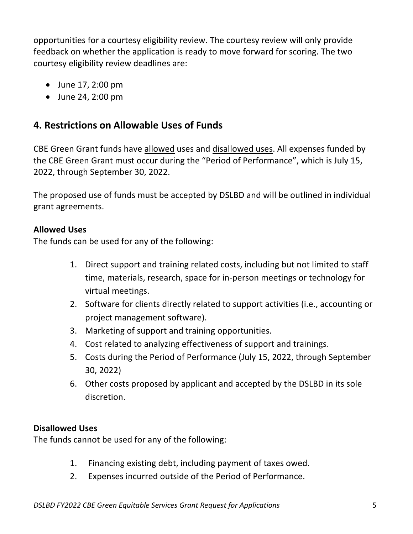opportunities for a courtesy eligibility review. The courtesy review will only provide feedback on whether the application is ready to move forward for scoring. The two courtesy eligibility review deadlines are:

- June 17, 2:00 pm
- June 24, 2:00 pm

# **4. Restrictions on Allowable Uses of Funds**

CBE Green Grant funds have allowed uses and disallowed uses. All expenses funded by the CBE Green Grant must occur during the "Period of Performance", which is July 15, 2022, through September 30, 2022.

The proposed use of funds must be accepted by DSLBD and will be outlined in individual grant agreements.

### **Allowed Uses**

The funds can be used for any of the following:

- 1. Direct support and training related costs, including but not limited to staff time, materials, research, space for in-person meetings or technology for virtual meetings.
- 2. Software for clients directly related to support activities (i.e., accounting or project management software).
- 3. Marketing of support and training opportunities.
- 4. Cost related to analyzing effectiveness of support and trainings.
- 5. Costs during the Period of Performance (July 15, 2022, through September 30, 2022)
- 6. Other costs proposed by applicant and accepted by the DSLBD in its sole discretion.

### **Disallowed Uses**

The funds cannot be used for any of the following:

- 1. Financing existing debt, including payment of taxes owed.
- 2. Expenses incurred outside of the Period of Performance.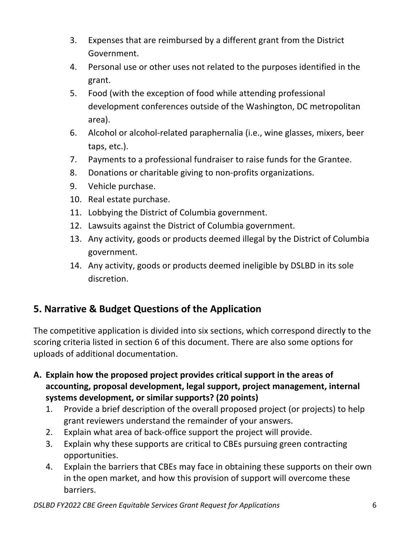- 3. Expenses that are reimbursed by a different grant from the District Government.
- 4. Personal use or other uses not related to the purposes identified in the grant.
- 5. Food (with the exception of food while attending professional development conferences outside of the Washington, DC metropolitan area).
- 6. Alcohol or alcohol-related paraphernalia (i.e., wine glasses, mixers, beer taps, etc.).
- 7. Payments to a professional fundraiser to raise funds for the Grantee.
- 8. Donations or charitable giving to non-profits organizations.
- 9. Vehicle purchase.
- 10. Real estate purchase.
- 11. Lobbying the District of Columbia government.
- 12. Lawsuits against the District of Columbia government.
- 13. Any activity, goods or products deemed illegal by the District of Columbia government.
- 14. Any activity, goods or products deemed ineligible by DSLBD in its sole discretion.

# **5. Narrative & Budget Questions of the Application**

The competitive application is divided into six sections, which correspond directly to the scoring criteria listed in section 6 of this document. There are also some options for uploads of additional documentation.

- **A. Explain how the proposed project provides critical support in the areas of accounting, proposal development, legal support, project management, internal systems development, or similar supports? (20 points)**
	- 1. Provide a brief description of the overall proposed project (or projects) to help grant reviewers understand the remainder of your answers.
	- 2. Explain what area of back-office support the project will provide.
	- 3. Explain why these supports are critical to CBEs pursuing green contracting opportunities.
	- 4. Explain the barriers that CBEs may face in obtaining these supports on their own in the open market, and how this provision of support will overcome these barriers.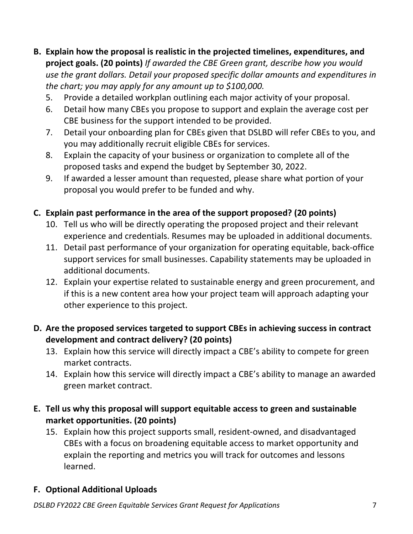- **B. Explain how the proposal is realistic in the projected timelines, expenditures, and project goals. (20 points)** *If awarded the CBE Green grant, describe how you would use the grant dollars. Detail your proposed specific dollar amounts and expenditures in the chart; you may apply for any amount up to \$100,000.*
	- 5. Provide a detailed workplan outlining each major activity of your proposal.
	- 6. Detail how many CBEs you propose to support and explain the average cost per CBE business for the support intended to be provided.
	- 7. Detail your onboarding plan for CBEs given that DSLBD will refer CBEs to you, and you may additionally recruit eligible CBEs for services.
	- 8. Explain the capacity of your business or organization to complete all of the proposed tasks and expend the budget by September 30, 2022.
	- 9. If awarded a lesser amount than requested, please share what portion of your proposal you would prefer to be funded and why.

### **C. Explain past performance in the area of the support proposed? (20 points)**

- 10. Tell us who will be directly operating the proposed project and their relevant experience and credentials. Resumes may be uploaded in additional documents.
- 11. Detail past performance of your organization for operating equitable, back-office support services for small businesses. Capability statements may be uploaded in additional documents.
- 12. Explain your expertise related to sustainable energy and green procurement, and if this is a new content area how your project team will approach adapting your other experience to this project.

### **D. Are the proposed services targeted to support CBEs in achieving success in contract development and contract delivery? (20 points)**

- 13. Explain how this service will directly impact a CBE's ability to compete for green market contracts.
- 14. Explain how this service will directly impact a CBE's ability to manage an awarded green market contract.

### **E. Tell us why this proposal will support equitable access to green and sustainable market opportunities. (20 points)**

15. Explain how this project supports small, resident-owned, and disadvantaged CBEs with a focus on broadening equitable access to market opportunity and explain the reporting and metrics you will track for outcomes and lessons learned.

### **F. Optional Additional Uploads**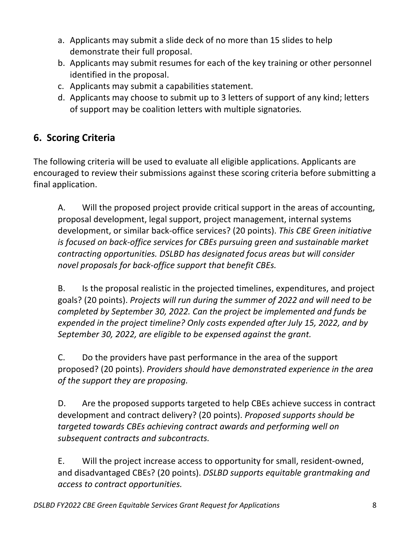- a. Applicants may submit a slide deck of no more than 15 slides to help demonstrate their full proposal.
- b. Applicants may submit resumes for each of the key training or other personnel identified in the proposal.
- c. Applicants may submit a capabilities statement.
- d. Applicants may choose to submit up to 3 letters of support of any kind; letters of support may be coalition letters with multiple signatories*.*

# **6. Scoring Criteria**

The following criteria will be used to evaluate all eligible applications. Applicants are encouraged to review their submissions against these scoring criteria before submitting a final application.

A. Will the proposed project provide critical support in the areas of accounting, proposal development, legal support, project management, internal systems development, or similar back-office services? (20 points). *This CBE Green initiative is focused on back-office services for CBEs pursuing green and sustainable market contracting opportunities. DSLBD has designated focus areas but will consider novel proposals for back-office support that benefit CBEs.*

B. Is the proposal realistic in the projected timelines, expenditures, and project goals? (20 points). *Projects will run during the summer of 2022 and will need to be completed by September 30, 2022. Can the project be implemented and funds be expended in the project timeline? Only costs expended after July 15, 2022, and by September 30, 2022, are eligible to be expensed against the grant.*

C. Do the providers have past performance in the area of the support proposed? (20 points). *Providers should have demonstrated experience in the area of the support they are proposing.*

D. Are the proposed supports targeted to help CBEs achieve success in contract development and contract delivery? (20 points). *Proposed supports should be targeted towards CBEs achieving contract awards and performing well on subsequent contracts and subcontracts.* 

E. Will the project increase access to opportunity for small, resident-owned, and disadvantaged CBEs? (20 points). *DSLBD supports equitable grantmaking and access to contract opportunities.*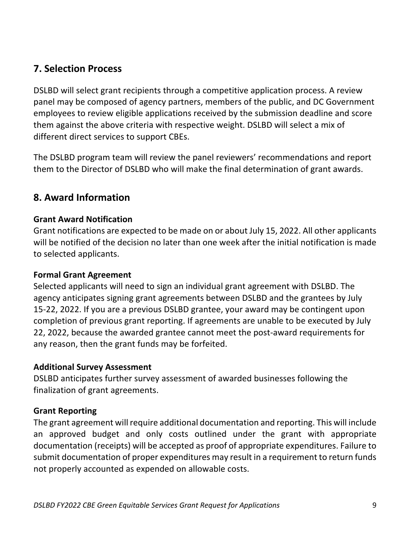# **7. Selection Process**

DSLBD will select grant recipients through a competitive application process. A review panel may be composed of agency partners, members of the public, and DC Government employees to review eligible applications received by the submission deadline and score them against the above criteria with respective weight. DSLBD will select a mix of different direct services to support CBEs.

The DSLBD program team will review the panel reviewers' recommendations and report them to the Director of DSLBD who will make the final determination of grant awards.

# **8. Award Information**

#### **Grant Award Notification**

Grant notifications are expected to be made on or about July 15, 2022. All other applicants will be notified of the decision no later than one week after the initial notification is made to selected applicants.

#### **Formal Grant Agreement**

Selected applicants will need to sign an individual grant agreement with DSLBD. The agency anticipates signing grant agreements between DSLBD and the grantees by July 15-22, 2022. If you are a previous DSLBD grantee, your award may be contingent upon completion of previous grant reporting. If agreements are unable to be executed by July 22, 2022, because the awarded grantee cannot meet the post-award requirements for any reason, then the grant funds may be forfeited.

#### **Additional Survey Assessment**

DSLBD anticipates further survey assessment of awarded businesses following the finalization of grant agreements.

#### **Grant Reporting**

The grant agreement will require additional documentation and reporting. This will include an approved budget and only costs outlined under the grant with appropriate documentation (receipts) will be accepted as proof of appropriate expenditures. Failure to submit documentation of proper expenditures may result in a requirement to return funds not properly accounted as expended on allowable costs.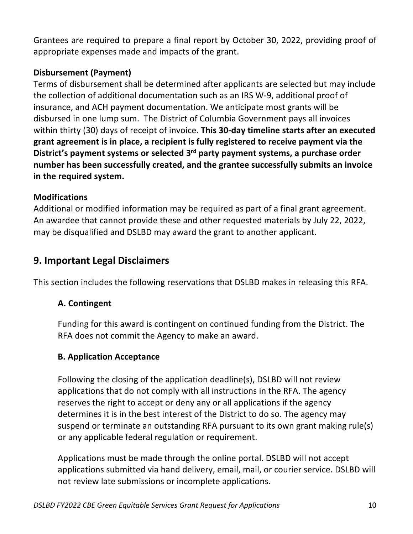Grantees are required to prepare a final report by October 30, 2022, providing proof of appropriate expenses made and impacts of the grant.

### **Disbursement (Payment)**

Terms of disbursement shall be determined after applicants are selected but may include the collection of additional documentation such as an IRS W-9, additional proof of insurance, and ACH payment documentation. We anticipate most grants will be disbursed in one lump sum. The District of Columbia Government pays all invoices within thirty (30) days of receipt of invoice. **This 30-day timeline starts after an executed grant agreement is in place, a recipient is fully registered to receive payment via the District's payment systems or selected 3rd party payment systems, a purchase order number has been successfully created, and the grantee successfully submits an invoice in the required system.**

### **Modifications**

Additional or modified information may be required as part of a final grant agreement. An awardee that cannot provide these and other requested materials by July 22, 2022, may be disqualified and DSLBD may award the grant to another applicant.

# **9. Important Legal Disclaimers**

This section includes the following reservations that DSLBD makes in releasing this RFA.

### **A. Contingent**

Funding for this award is contingent on continued funding from the District. The RFA does not commit the Agency to make an award.

### **B. Application Acceptance**

Following the closing of the application deadline(s), DSLBD will not review applications that do not comply with all instructions in the RFA. The agency reserves the right to accept or deny any or all applications if the agency determines it is in the best interest of the District to do so. The agency may suspend or terminate an outstanding RFA pursuant to its own grant making rule(s) or any applicable federal regulation or requirement.

Applications must be made through the online portal. DSLBD will not accept applications submitted via hand delivery, email, mail, or courier service. DSLBD will not review late submissions or incomplete applications.